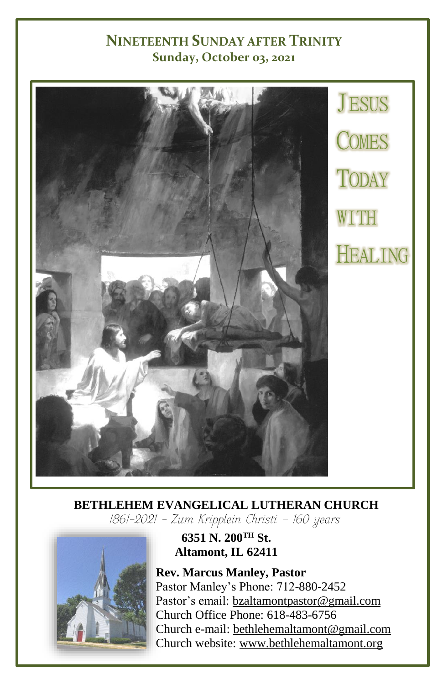#### **NINETEENTH SUNDAY AFTER TRINITY Sunday, October 03, 2021**



## **BETHLEHEM EVANGELICAL LUTHERAN CHURCH**<br>[861-2021 - Zum Kripplein Christi - 160 years]



#### **6351 N. 200TH St. Altamont, IL 62411**

**Rev. Marcus Manley, Pastor** Pastor Manley's Phone: 712-880-2452 Pastor's email[: bzaltamontpastor@gmail.com](mailto:bzaltamontpastor@gmail.com) Church Office Phone: 618-483-6756 Church e-mail: [bethlehemaltamont@gmail.com](mailto:bethlehemaltamont@gmail.com) Church website: [www.bethlehemaltamont.org](http://www.bethlehemaltamont.org/)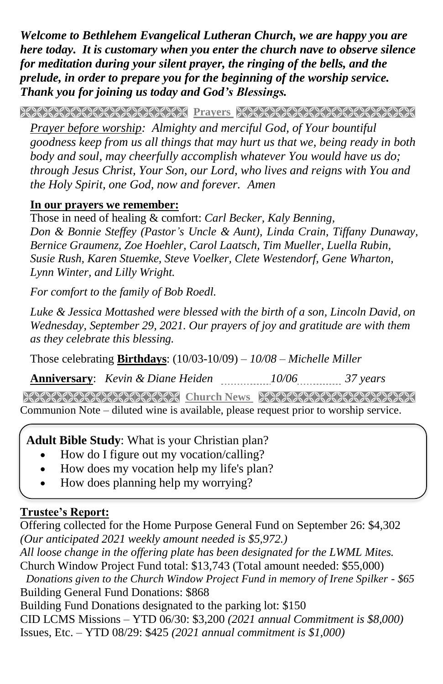*Welcome to Bethlehem Evangelical Lutheran Church, we are happy you are here today. It is customary when you enter the church nave to observe silence for meditation during your silent prayer, the ringing of the bells, and the prelude, in order to prepare you for the beginning of the worship service. Thank you for joining us today and God's Blessings.*

**PRAYERS AND REAL PROPERTY AND RELATIONS AND REAL PROPERTY** 

*Prayer before worship: Almighty and merciful God, of Your bountiful goodness keep from us all things that may hurt us that we, being ready in both body and soul, may cheerfully accomplish whatever You would have us do; through Jesus Christ, Your Son, our Lord, who lives and reigns with You and the Holy Spirit, one God, now and forever. Amen* 

#### **In our prayers we remember:**

Those in need of healing & comfort: *Carl Becker, Kaly Benning, Don & Bonnie Steffey (Pastor's Uncle & Aunt), Linda Crain, Tiffany Dunaway, Bernice Graumenz, Zoe Hoehler, Carol Laatsch, Tim Mueller, Luella Rubin, Susie Rush, Karen Stuemke, Steve Voelker, Clete Westendorf, Gene Wharton, Lynn Winter, and Lilly Wright.*

*For comfort to the family of Bob Roedl.*

*Luke & Jessica Mottashed were blessed with the birth of a son, Lincoln David, on Wednesday, September 29, 2021. Our prayers of joy and gratitude are with them as they celebrate this blessing.*

Those celebrating **Birthdays**: (10/03-10/09) *– 10/08 – Michelle Miller*

**Anniversary**: *Kevin & Diane Heiden 10/06 37 years*

**Church News Street Church News RECONSTRECT CONTROL** Communion Note – diluted wine is available, please request prior to worship service.

#### **Adult Bible Study**: What is your Christian plan?

- How do I figure out my vocation/calling?
- How does my vocation help my life's plan?
- How does planning help my worrying?

#### **Trustee's Report:**

Offering collected for the Home Purpose General Fund on September 26: \$4,302 *(Our anticipated 2021 weekly amount needed is \$5,972.) All loose change in the offering plate has been designated for the LWML Mites.* Church Window Project Fund total: \$13,743 (Total amount needed: \$55,000) *Donations given to the Church Window Project Fund in memory of Irene Spilker - \$65* Building General Fund Donations: \$868 Building Fund Donations designated to the parking lot: \$150 CID LCMS Missions – YTD 06/30: \$3,200 *(2021 annual Commitment is \$8,000)* Issues, Etc. – YTD 08/29: \$425 *(2021 annual commitment is \$1,000)*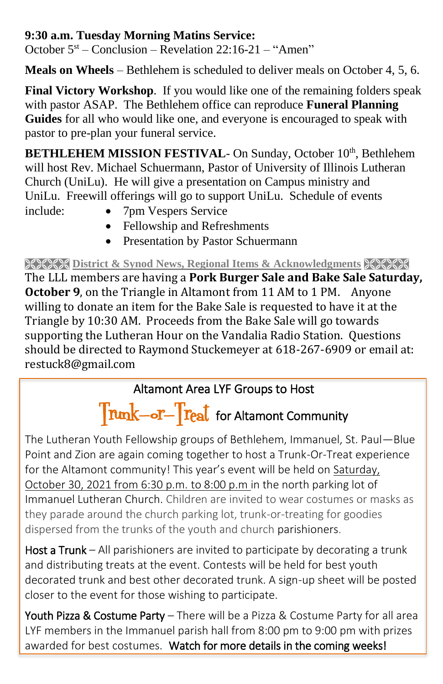#### **9:30 a.m. Tuesday Morning Matins Service:**

October  $5<sup>st</sup>$  – Conclusion – Revelation 22:16-21 – "Amen"

**Meals on Wheels** – Bethlehem is scheduled to deliver meals on October 4, 5, 6.

**Final Victory Workshop**. If you would like one of the remaining folders speak with pastor ASAP. The Bethlehem office can reproduce **Funeral Planning Guides** for all who would like one, and everyone is encouraged to speak with pastor to pre-plan your funeral service.

**BETHLEHEM MISSION FESTIVAL- On Sunday, October 10th, Bethlehem** will host Rev. Michael Schuermann, Pastor of University of Illinois Lutheran Church (UniLu). He will give a presentation on Campus ministry and UniLu. Freewill offerings will go to support UniLu. Schedule of events

- 
- include: 7pm Vespers Service
	- Fellowship and Refreshments
	- Presentation by Pastor Schuermann

**EXECT District & Synod News, Regional Items & Acknowledgments** 

The LLL members are having a **Pork Burger Sale and Bake Sale Saturday, October 9**, on the Triangle in Altamont from 11 AM to 1 PM. Anyone willing to donate an item for the Bake Sale is requested to have it at the Triangle by 10:30 AM. Proceeds from the Bake Sale will go towards supporting the Lutheran Hour on the Vandalia Radio Station. Questions should be directed to Raymond Stuckemeyer at 618-267-6909 or email at: restuck8@gmail.com

### Altamont Area LYF Groups to Host

# Trunk-or-Treat for Altamont Community

The Lutheran Youth Fellowship groups of Bethlehem, Immanuel, St. Paul—Blue Point and Zion are again coming together to host a Trunk-Or-Treat experience for the Altamont community! This year's event will be held on Saturday, October 30, 2021 from 6:30 p.m. to 8:00 p.m in the north parking lot of Immanuel Lutheran Church. Children are invited to wear costumes or masks as they parade around the church parking lot, trunk-or-treating for goodies dispersed from the trunks of the youth and church parishioners.

Host a Trunk – All parishioners are invited to participate by decorating a trunk and distributing treats at the event. Contests will be held for best youth decorated trunk and best other decorated trunk. A sign-up sheet will be posted closer to the event for those wishing to participate.

Youth Pizza & Costume Party – There will be a Pizza & Costume Party for all area LYF members in the Immanuel parish hall from 8:00 pm to 9:00 pm with prizes awarded for best costumes. Watch for more details in the coming weeks!